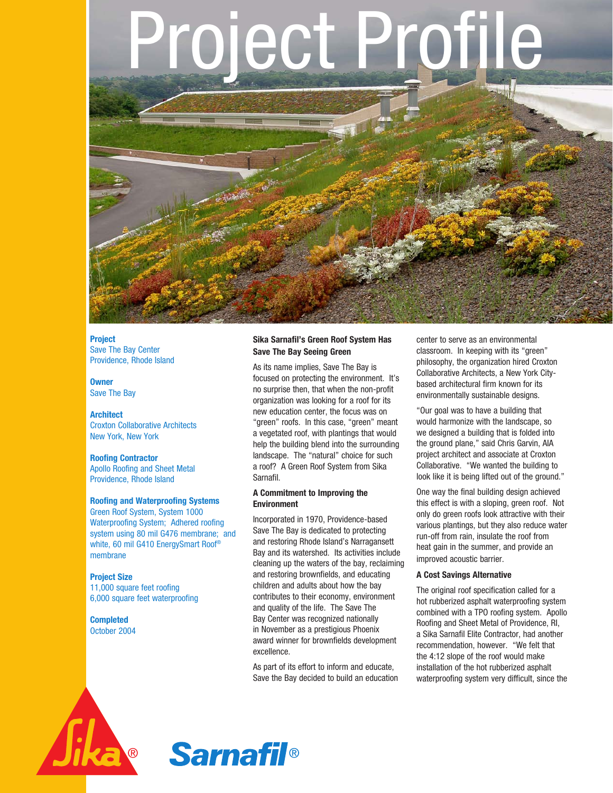# olect Pr



**Project** Save The Bay Center Providence, Rhode Island

**Owner** Save The Bay

### **Architect** Croxton Collaborative Architects New York, New York

**Roofing Contractor**

Apollo Roofing and Sheet Metal Providence, Rhode Island

# **Roofing and Waterproofing Systems**

Green Roof System, System 1000 Waterproofing System; Adhered roofing system using 80 mil G476 membrane; and white, 60 mil G410 EnergySmart Roof® membrane

# **Project Size**

11,000 square feet roofing 6,000 square feet waterproofing

**Completed** October 2004

# **Sika Sarnafil's Green Roof System Has Save The Bay Seeing Green**

As its name implies, Save The Bay is focused on protecting the environment. It's no surprise then, that when the non-profit organization was looking for a roof for its new education center, the focus was on "green" roofs. In this case, "green" meant a vegetated roof, with plantings that would help the building blend into the surrounding landscape. The "natural" choice for such a roof? A Green Roof System from Sika Sarnafil.

# **A Commitment to Improving the Environment**

Incorporated in 1970, Providence-based Save The Bay is dedicated to protecting and restoring Rhode Island's Narragansett Bay and its watershed. Its activities include cleaning up the waters of the bay, reclaiming and restoring brownfields, and educating children and adults about how the bay contributes to their economy, environment and quality of the life. The Save The Bay Center was recognized nationally in November as a prestigious Phoenix award winner for brownfields development excellence.

As part of its effort to inform and educate, Save the Bay decided to build an education center to serve as an environmental classroom. In keeping with its "green" philosophy, the organization hired Croxton Collaborative Architects, a New York Citybased architectural firm known for its environmentally sustainable designs.

"Our goal was to have a building that would harmonize with the landscape, so we designed a building that is folded into the ground plane," said Chris Garvin, AIA project architect and associate at Croxton Collaborative. "We wanted the building to look like it is being lifted out of the ground."

One way the final building design achieved this effect is with a sloping, green roof. Not only do green roofs look attractive with their various plantings, but they also reduce water run-off from rain, insulate the roof from heat gain in the summer, and provide an improved acoustic barrier.

# **A Cost Savings Alternative**

The original roof specification called for a hot rubberized asphalt waterproofing system combined with a TPO roofing system. Apollo Roofing and Sheet Metal of Providence, RI, a Sika Sarnafil Elite Contractor, had another recommendation, however. "We felt that the 4:12 slope of the roof would make installation of the hot rubberized asphalt waterproofing system very difficult, since the